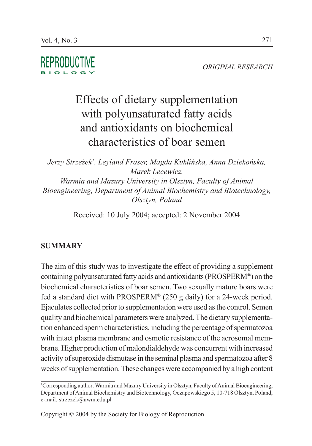*ORIGINAL RESEARCH*

# Effects of dietary supplementation with polyunsaturated fatty acids and antioxidants on biochemical characteristics of boar semen

*Jerzy Strzeżek1 , Leyland Fraser, Magda Kuklińska, Anna Dziekońska, Marek Lecewicz. Warmia and Mazury University in Olsztyn, Faculty of Animal Bioengineering, Department of Animal Biochemistry and Biotechnology, Olsztyn, Poland*

Received: 10 July 2004; accepted: 2 November 2004

# **SUMMARY**

The aim of this study was to investigate the effect of providing a supplement containing polyunsaturated fatty acids and antioxidants (PROSPERM®) on the biochemical characteristics of boar semen. Two sexually mature boars were fed a standard diet with PROSPERM® (250 g daily) for a 24-week period. Ejaculates collected prior to supplementation were used as the control. Semen quality and biochemical parameters were analyzed. The dietary supplementation enhanced sperm characteristics, including the percentage of spermatozoa with intact plasma membrane and osmotic resistance of the acrosomal membrane. Higher production of malondialdehyde was concurrent with increased activity of superoxide dismutase in the seminal plasma and spermatozoa after 8 weeks of supplementation. These changes were accompanied by a high content

<sup>1</sup> Corresponding author: Warmia and Mazury University in Olsztyn, Faculty of Animal Bioengineering, Department of Animal Biochemistry and Biotechnology, Oczapowskiego 5, 10-718 Olsztyn, Poland, e-mail: strzezek@uwm.edu.pl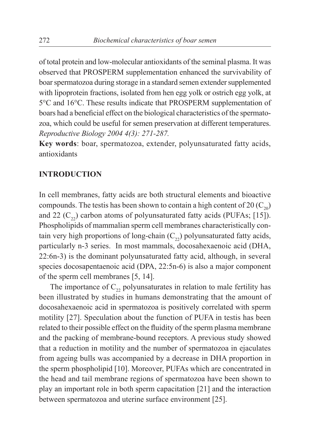of total protein and low-molecular antioxidants of the seminal plasma. It was observed that PROSPERM supplementation enhanced the survivability of boar spermatozoa during storage in a standard semen extender supplemented with lipoprotein fractions, isolated from hen egg yolk or ostrich egg yolk, at 5°C and 16°C. These results indicate that PROSPERM supplementation of boars had a beneficial effect on the biological characteristics of the spermatozoa, which could be useful for semen preservation at different temperatures. *Reproductive Biology 2004 4(3): 271-287.*

**Key words**: boar, spermatozoa, extender, polyunsaturated fatty acids, antioxidants

#### **INTRODUCTION**

In cell membranes, fatty acids are both structural elements and bioactive compounds. The testis has been shown to contain a high content of 20  $(C_{20})$ and 22  $(C_{22})$  carbon atoms of polyunsaturated fatty acids (PUFAs; [15]). Phospholipids of mammalian sperm cell membranes characteristically contain very high proportions of long-chain  $(C_{22})$  polyunsaturated fatty acids, particularly n-3 series. In most mammals, docosahexaenoic acid (DHA, 22:6n-3) is the dominant polyunsaturated fatty acid, although, in several species docosapentaenoic acid (DPA, 22:5n-6) is also a major component of the sperm cell membranes [5, 14].

The importance of  $C_{22}$  polyunsaturates in relation to male fertility has been illustrated by studies in humans demonstrating that the amount of docosahexaenoic acid in spermatozoa is positively correlated with sperm motility [27]. Speculation about the function of PUFA in testis has been related to their possible effect on the fluidity of the sperm plasma membrane and the packing of membrane-bound receptors. A previous study showed that a reduction in motility and the number of spermatozoa in ejaculates from ageing bulls was accompanied by a decrease in DHA proportion in the sperm phospholipid [10]. Moreover, PUFAs which are concentrated in the head and tail membrane regions of spermatozoa have been shown to play an important role in both sperm capacitation [21] and the interaction between spermatozoa and uterine surface environment [25].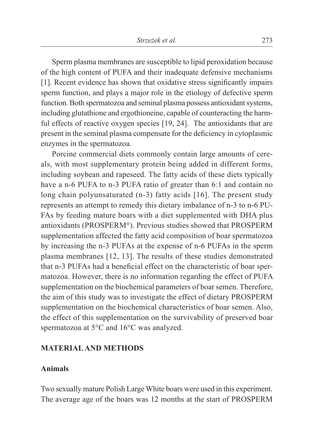Sperm plasma membranes are susceptible to lipid peroxidation because of the high content of PUFA and their inadequate defensive mechanisms [1]. Recent evidence has shown that oxidative stress significantly impairs sperm function, and plays a major role in the etiology of defective sperm function. Both spermatozoa and seminal plasma possess antioxidant systems, including glutathione and ergothioneine, capable of counteracting the harmful effects of reactive oxygen species [19, 24]. The antioxidants that are present in the seminal plasma compensate for the deficiency in cytoplasmic enzymes in the spermatozoa.

Porcine commercial diets commonly contain large amounts of cereals, with most supplementary protein being added in different forms, including soybean and rapeseed. The fatty acids of these diets typically have a n-6 PUFA to n-3 PUFA ratio of greater than 6:1 and contain no long chain polyunsaturated (n-3) fatty acids [16]. The present study represents an attempt to remedy this dietary imbalance of n-3 to n-6 PU-FAs by feeding mature boars with a diet supplemented with DHA plus antioxidants (PROSPERM®). Previous studies showed that PROSPERM supplementation affected the fatty acid composition of boar spermatozoa by increasing the n-3 PUFAs at the expense of n-6 PUFAs in the sperm plasma membranes [12, 13]. The results of these studies demonstrated that n-3 PUFAs had a beneficial effect on the characteristic of boar spermatozoa. However, there is no information regarding the effect of PUFA supplementation on the biochemical parameters of boar semen. Therefore, the aim of this study was to investigate the effect of dietary PROSPERM supplementation on the biochemical characteristics of boar semen. Also, the effect of this supplementation on the survivability of preserved boar spermatozoa at 5°C and 16°C was analyzed.

#### **MATERIAL AND METHODS**

#### **Animals**

Two sexually mature Polish Large White boars were used in this experiment. The average age of the boars was 12 months at the start of PROSPERM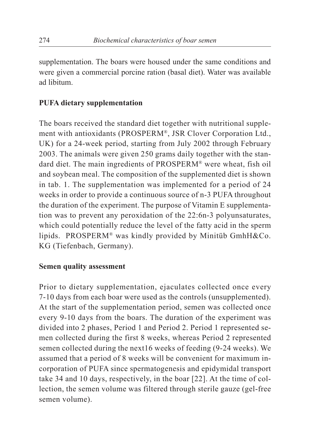supplementation. The boars were housed under the same conditions and were given a commercial porcine ration (basal diet). Water was available ad libitum.

## **PUFA dietary supplementation**

The boars received the standard diet together with nutritional supplement with antioxidants (PROSPERM®, JSR Clover Corporation Ltd., UK) for a 24-week period, starting from July 2002 through February 2003. The animals were given 250 grams daily together with the standard diet. The main ingredients of PROSPERM® were wheat, fish oil and soybean meal. The composition of the supplemented diet is shown in tab. 1. The supplementation was implemented for a period of 24 weeks in order to provide a continuous source of n-3 PUFA throughout the duration of the experiment. The purpose of Vitamin E supplementation was to prevent any peroxidation of the 22:6n-3 polyunsaturates, which could potentially reduce the level of the fatty acid in the sperm lipids. PROSPERM® was kindly provided by Minitüb GmhH&Co. KG (Tiefenbach, Germany).

#### **Semen quality assessment**

Prior to dietary supplementation, ejaculates collected once every 7-10 days from each boar were used as the controls (unsupplemented). At the start of the supplementation period, semen was collected once every 9-10 days from the boars. The duration of the experiment was divided into 2 phases, Period 1 and Period 2. Period 1 represented semen collected during the first 8 weeks, whereas Period 2 represented semen collected during the next16 weeks of feeding (9-24 weeks). We assumed that a period of 8 weeks will be convenient for maximum incorporation of PUFA since spermatogenesis and epidymidal transport take 34 and 10 days, respectively, in the boar [22]. At the time of collection, the semen volume was filtered through sterile gauze (gel-free semen volume).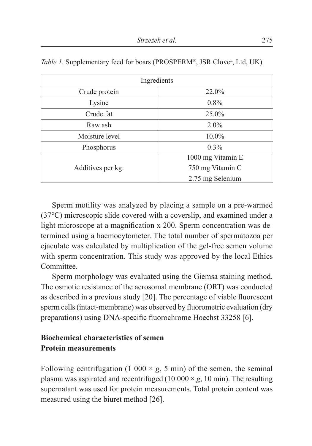| Ingredients       |                   |  |  |  |
|-------------------|-------------------|--|--|--|
| Crude protein     | 22.0%             |  |  |  |
| Lysine            | $0.8\%$           |  |  |  |
| Crude fat         | 25.0%             |  |  |  |
| Raw ash           | $2.0\%$           |  |  |  |
| Moisture level    | $10.0\%$          |  |  |  |
| Phosphorus        | $0.3\%$           |  |  |  |
|                   | 1000 mg Vitamin E |  |  |  |
| Additives per kg: | 750 mg Vitamin C  |  |  |  |
|                   | 2.75 mg Selenium  |  |  |  |

|  |  |  |  | Table 1. Supplementary feed for boars (PROSPERM®, JSR Clover, Ltd, UK) |  |
|--|--|--|--|------------------------------------------------------------------------|--|
|--|--|--|--|------------------------------------------------------------------------|--|

Sperm motility was analyzed by placing a sample on a pre-warmed (37°C) microscopic slide covered with a coverslip, and examined under a light microscope at a magnification x 200. Sperm concentration was determined using a haemocytometer. The total number of spermatozoa per ejaculate was calculated by multiplication of the gel-free semen volume with sperm concentration. This study was approved by the local Ethics Committee.

Sperm morphology was evaluated using the Giemsa staining method. The osmotic resistance of the acrosomal membrane (ORT) was conducted as described in a previous study [20]. The percentage of viable fluorescent sperm cells (intact-membrane) was observed by fluorometric evaluation (dry preparations) using DNA-specific fluorochrome Hoechst 33258 [6].

# **Biochemical characteristics of semen Protein measurements**

Following centrifugation (1 000  $\times$  *g*, 5 min) of the semen, the seminal plasma was aspirated and recentrifuged (10 000  $\times$  *g*, 10 min). The resulting supernatant was used for protein measurements. Total protein content was measured using the biuret method [26].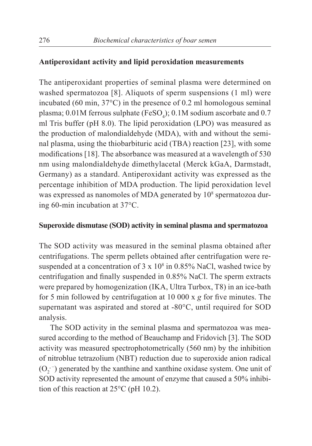#### **Antiperoxidant activity and lipid peroxidation measurements**

The antiperoxidant properties of seminal plasma were determined on washed spermatozoa [8]. Aliquots of sperm suspensions (1 ml) were incubated (60 min, 37°C) in the presence of 0.2 ml homologous seminal plasma;  $0.01M$  ferrous sulphate (FeSO<sub>4</sub>);  $0.1M$  sodium ascorbate and  $0.7$ ml Tris buffer (pH 8.0). The lipid peroxidation (LPO) was measured as the production of malondialdehyde (MDA), with and without the seminal plasma, using the thiobarbituric acid (TBA) reaction [23], with some modifications [18]. The absorbance was measured at a wavelength of 530 nm using malondialdehyde dimethylacetal (Merck kGaA, Darmstadt, Germany) as a standard. Antiperoxidant activity was expressed as the percentage inhibition of MDA production. The lipid peroxidation level was expressed as nanomoles of MDA generated by  $10^8$  spermatozoa during 60-min incubation at 37°C.

#### **Superoxide dismutase (SOD) activity in seminal plasma and spermatozoa**

The SOD activity was measured in the seminal plasma obtained after centrifugations. The sperm pellets obtained after centrifugation were resuspended at a concentration of  $3 \times 10^8$  in 0.85% NaCl, washed twice by centrifugation and finally suspended in 0.85% NaCl. The sperm extracts were prepared by homogenization (IKA, Ultra Turbox, T8) in an ice-bath for 5 min followed by centrifugation at 10 000 x *g* for five minutes. The supernatant was aspirated and stored at -80°C, until required for SOD analysis.

The SOD activity in the seminal plasma and spermatozoa was measured according to the method of Beauchamp and Fridovich [3]. The SOD activity was measured spectrophotometrically (560 nm) by the inhibition of nitroblue tetrazolium (NBT) reduction due to superoxide anion radical  $(O_2^-)$  generated by the xanthine and xanthine oxidase system. One unit of SOD activity represented the amount of enzyme that caused a 50% inhibition of this reaction at 25°C (pH 10.2).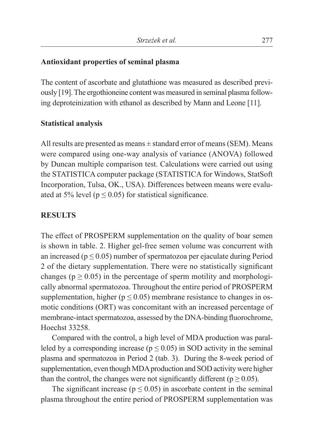### **Antioxidant properties of seminal plasma**

The content of ascorbate and glutathione was measured as described previously [19]. The ergothioneine content was measured in seminal plasma following deproteinization with ethanol as described by Mann and Leone [11].

### **Statistical analysis**

All results are presented as means  $\pm$  standard error of means (SEM). Means were compared using one-way analysis of variance (ANOVA) followed by Duncan multiple comparison test. Calculations were carried out using the STATISTICA computer package (STATISTICA for Windows, StatSoft Incorporation, Tulsa, OK., USA). Differences between means were evaluated at 5% level ( $p \le 0.05$ ) for statistical significance.

#### **RESULTS**

The effect of PROSPERM supplementation on the quality of boar semen is shown in table. 2. Higher gel-free semen volume was concurrent with an increased ( $p \le 0.05$ ) number of spermatozoa per ejaculate during Period 2 of the dietary supplementation. There were no statistically significant changes ( $p \ge 0.05$ ) in the percentage of sperm motility and morphologically abnormal spermatozoa. Throughout the entire period of PROSPERM supplementation, higher ( $p \le 0.05$ ) membrane resistance to changes in osmotic conditions (ORT) was concomitant with an increased percentage of membrane-intact spermatozoa, assessed by the DNA-binding fluorochrome, Hoechst 33258.

Compared with the control, a high level of MDA production was paralleled by a corresponding increase ( $p \le 0.05$ ) in SOD activity in the seminal plasma and spermatozoa in Period 2 (tab. 3). During the 8-week period of supplementation, even though MDA production and SOD activity were higher than the control, the changes were not significantly different ( $p \ge 0.05$ ).

The significant increase ( $p \le 0.05$ ) in ascorbate content in the seminal plasma throughout the entire period of PROSPERM supplementation was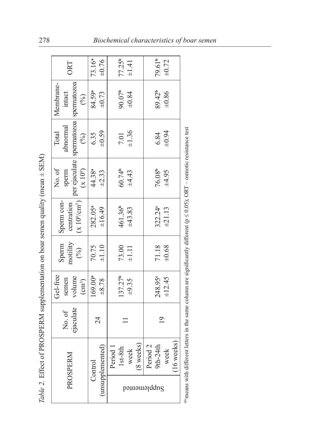| $\frac{1}{\sqrt{2}}$<br>$\frac{1}{2}$                                                                            |
|------------------------------------------------------------------------------------------------------------------|
|                                                                                                                  |
|                                                                                                                  |
| $\sim$<br>j                                                                                                      |
| 1                                                                                                                |
|                                                                                                                  |
|                                                                                                                  |
|                                                                                                                  |
| I<br>j                                                                                                           |
| Frances of the state of<br>;<br>;<br>;<br>֦֖֚֚֚֚֚֚֚֚֚֚֚֚֚֚֚֚֚֝֝֝֝֓֝<br>֧֪֧֧֧֧֧֧֚֚֚֚֚֚֚֚֚֚֚֚֚֚֚֚֚֚֚֚֚֝֝֝֝֝֬֝֬֝֬֝֬ |
| $\begin{array}{ccc} \hline \end{array}$<br>į                                                                     |
| $T_{\alpha}l_{\alpha}$ ) $T_{\alpha}T_{\alpha}$<br>$\frac{2}{3}$                                                 |

| <b>DRT</b>                                                                       | 73.16 <sup>a</sup><br>$\pm 0.76$ | 77.25b<br>$\pm 1.41$                       | 79.61 <sup>b</sup><br>$\pm 0.72$                          |
|----------------------------------------------------------------------------------|----------------------------------|--------------------------------------------|-----------------------------------------------------------|
| Membrane-<br>intact<br>(%)                                                       | 84.59ª<br>±0.73                  | $90.07^{\circ}$<br>$+0.84$                 | 89.42 <sup>b</sup><br>$+0.86$                             |
| spermatozoa spermatozoa<br>abnormal<br>Total<br>$\overline{(\overline{\phi}_0)}$ | $6.35$<br>$\pm 0.59$             | $7.01$<br>$\pm 1.36$                       | $6.84$<br>$+0.94$                                         |
| per ejaculate<br>$(x\;10^9)$<br>No. of<br>sperm                                  | 44.38ª<br>$\pm 2.33$             | $60.74^{b}$<br>$\pm 4.43$                  | $76.08b$<br>$±4.95$                                       |
| $(x 10^6/cm^3)$<br>Sperm con-<br>centration                                      | 282.05ª<br>±16.49                | 461.36 <sup>b</sup><br>±43.83              | 322.24c<br>±21.13                                         |
| motility<br>$(^{96}_{6})$<br>Sperm                                               | $70.75$<br>$\pm 1.10$            | $73.00$<br>$\pm 1.11$                      | $71.18$<br>$+0.68$                                        |
| Gel-free<br>volume<br>semen<br>$\left( \text{cm}^3 \right)$                      | $169.00^{a}$<br>±8.78            | 137.27 <sup>b</sup><br>$\pm 9.35$          | 248.95 <sup>c</sup><br>±12.45                             |
| ejaculate<br>No.of                                                               | 24                               |                                            | $\overline{0}$                                            |
| PROSPERM                                                                         | unsupplemented<br>Control        | (8 weeks)<br>Period 1<br>$1st-8th$<br>week | $(16$ weeks)<br>Period <sub>2</sub><br>$9th-24th$<br>week |
|                                                                                  |                                  | pəµuəɯə¡ddnS                               |                                                           |

<sup>&</sup>lt;sup>ab</sup>means with different letters in the same column are significantly different ( $p \le 0.05$ ); ORT - osmotic resistance test  $\Phi$  means with different letters in the same column are significantly different (p  $\leq$  0.05); ORT – osmotic resistance test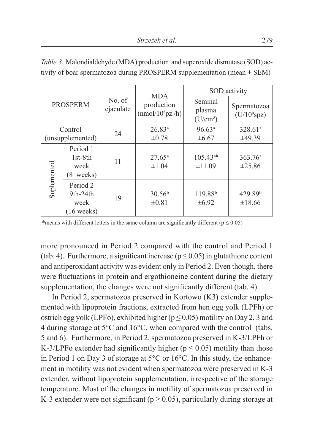| <b>PROSPERM</b> |                                                        |                     | <b>MDA</b>                                 | SOD activity                      |                                    |  |  |
|-----------------|--------------------------------------------------------|---------------------|--------------------------------------------|-----------------------------------|------------------------------------|--|--|
|                 |                                                        | No. of<br>ejaculate | production<br>(mmol/10 <sup>8</sup> pz./h) | Seminal<br>plasma<br>$(U/cm^3)$   | Spermatozoa<br>$(U/10^9$ spz)      |  |  |
|                 | Control                                                | 24                  | $26.83^{a}$                                | 96.63 <sup>a</sup>                | $328.61^a$                         |  |  |
|                 | (unsupplemented)                                       |                     | $\pm 0.78$                                 | $\pm 6.67$                        | ±49.39                             |  |  |
|                 | Period 1<br>$1st-8th$<br>week<br>(8 weeks)             | 11                  | $27.65^a$<br>$\pm 1.04$                    | $105.43^{ab}$<br>±11.09           | 363.76 <sup>a</sup><br>$\pm 25.86$ |  |  |
| Suplemented     | Period 2<br>$9th-24th$<br>week<br>$(16 \text{ weeks})$ | 19                  | 30.56 <sup>b</sup><br>$\pm 0.81$           | 119.88 <sup>b</sup><br>$\pm 6.92$ | 429.89 <sup>b</sup><br>±18.66      |  |  |

*Table 3.* Malondialdehyde (MDA) production and superoxide dismutase (SOD) activity of boar spermatozoa during PROSPERM supplementation (mean  $\pm$  SEM)

abmeans with different letters in the same column are significantly different ( $p \le 0.05$ )

more pronounced in Period 2 compared with the control and Period 1 (tab. 4). Furthermore, a significant increase ( $p \le 0.05$ ) in glutathione content and antiperoxidant activity was evident only in Period 2. Even though, there were fluctuations in protein and ergothioneine content during the dietary supplementation, the changes were not significantly different (tab. 4).

In Period 2, spermatozoa preserved in Kortowo (K3) extender supplemented with lipoprotein fractions, extracted from hen egg yolk (LPFh) or ostrich egg yolk (LPFo), exhibited higher ( $p \le 0.05$ ) motility on Day 2, 3 and 4 during storage at 5°C and 16°C, when compared with the control (tabs. 5 and 6). Furthermore, in Period 2, spermatozoa preserved in K-3/LPFh or K-3/LPFo extender had significantly higher ( $p \le 0.05$ ) motility than those in Period 1 on Day 3 of storage at 5°C or 16°C. In this study, the enhancement in motility was not evident when spermatozoa were preserved in K-3 extender, without lipoprotein supplementation, irrespective of the storage temperature. Most of the changes in motility of spermatozoa preserved in K-3 extender were not significant ( $p \ge 0.05$ ), particularly during storage at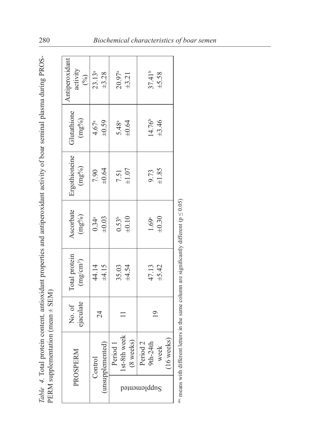| くらに                                                                                      |                       |
|------------------------------------------------------------------------------------------|-----------------------|
|                                                                                          |                       |
| ڊ<br>م                                                                                   |                       |
|                                                                                          |                       |
|                                                                                          |                       |
|                                                                                          |                       |
|                                                                                          |                       |
|                                                                                          |                       |
|                                                                                          |                       |
|                                                                                          |                       |
|                                                                                          |                       |
|                                                                                          |                       |
|                                                                                          |                       |
|                                                                                          |                       |
|                                                                                          |                       |
|                                                                                          |                       |
|                                                                                          |                       |
|                                                                                          |                       |
|                                                                                          |                       |
|                                                                                          |                       |
|                                                                                          | Ì                     |
|                                                                                          | ו<br>ון<br>ו<br>į     |
| tain contant introduct proportion and antiparoxidant activity of boar caracter relations |                       |
|                                                                                          |                       |
|                                                                                          | -<br>-<br>-<br>-      |
|                                                                                          |                       |
| I                                                                                        |                       |
|                                                                                          | Ş<br>í                |
|                                                                                          |                       |
|                                                                                          | $\int$<br>j<br>l<br>l |

| $\begin{tabular}{c} \multicolumn{1}{c}{\text{Antipercxidant}\atop\text{activity}}\\ \multicolumn{1}{c}{\hspace{1.5cm}}\end{tabular}$ | $23.13^a$<br>$\pm 3.28$                       | $20.97^a$<br>$\pm 3.21$                  | $37.41^b$<br>$\pm 5.58$                           |
|--------------------------------------------------------------------------------------------------------------------------------------|-----------------------------------------------|------------------------------------------|---------------------------------------------------|
| Glutathione<br>$(mg\%)$                                                                                                              | $4.67^a$<br>$\pm 0.59$                        | $5.48^a$<br>$\pm 0.64$                   | 14.76 <sup>b</sup><br>±3.46                       |
| $\begin{tabular}{l} {} \vspace{0.1cm} \textbf{Ergothioneine} \\ \hline \end{tabular}$                                                | $7.90$<br>$+0.64$                             | $7.51$<br>$\pm 1.07$                     | $9.73$<br>$\pm 1.85$                              |
| Ascorbate<br>$(mg%)$                                                                                                                 | $0.34^a$<br>$\pm 0.03$                        | $0.53^{b}$<br>$\pm 0.10$                 | $1.69^{\circ}$<br>$\pm 0.30^{\circ}$              |
| Total protein $(mg/cm^3)$                                                                                                            | 44.14<br>±4.15                                | $35.03$<br>$\pm 4.54$                    | $47.13$<br>$\pm 5.42$                             |
| No. of<br>ejaculate                                                                                                                  | 24                                            |                                          | $\overline{19}$                                   |
| PROSPERM                                                                                                                             | unsupplemented<br>$\mathop{\mathrm{Control}}$ | eek<br>(8 weeks)<br>$st-8th$ w<br>Period | 16 weeks<br>$\sim$<br>week<br>$9th-24t$<br>Period |
|                                                                                                                                      |                                               |                                          | pə1uəwəµddn $_{\rm S}$                            |

<sup>alo</sup> means with different letters in the same column are significantly different ( $p \le 0.05$ ) abc means with different letters in the same column are significantly different ( $p \le 0.05$ )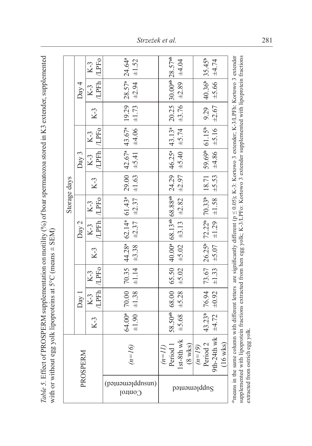Effect of PROSPERM supplementation on motility (%) of boar spermatozoa stored in K3 extender, supplemented Table 5. Effect of PROSPERM supplementation on motility (%) of boar spermatozoa stored in K3 extender, supplemented with or without egg yolk lipoproteins at  $5^{\circ}$ C (means  $\pm$  SEM) with or without egg yolk lipoproteins at  $5^{\circ}$ C (means  $\pm$  SEM)

|              |                  | $K-3$                  |                                                                                                     |                                                                                                                                                                  |                                                |                                                                                                                                                                                |                                                                                 |                                                                                                                                                  |
|--------------|------------------|------------------------|-----------------------------------------------------------------------------------------------------|------------------------------------------------------------------------------------------------------------------------------------------------------------------|------------------------------------------------|--------------------------------------------------------------------------------------------------------------------------------------------------------------------------------|---------------------------------------------------------------------------------|--------------------------------------------------------------------------------------------------------------------------------------------------|
|              | $\mathrm{Day}~4$ | LPFh LPFo<br>$  K-3  $ |                                                                                                     |                                                                                                                                                                  | $\pm 3.76$ $\pm 2.89$ $\pm 4.04$               |                                                                                                                                                                                | $\pm 5.66$   $\pm 4.74$                                                         |                                                                                                                                                  |
|              |                  |                        |                                                                                                     |                                                                                                                                                                  |                                                |                                                                                                                                                                                |                                                                                 |                                                                                                                                                  |
|              |                  | $K-3$                  |                                                                                                     |                                                                                                                                                                  |                                                |                                                                                                                                                                                |                                                                                 |                                                                                                                                                  |
|              |                  | $K-3$                  | $\pm 3.38$ $\pm 2.37$ $\pm 2.37$ $\pm 1.63$ $\pm 5.41$ $\pm 4.06$ $\pm 1.73$ $\pm 2.94$ $\pm 1.52$  |                                                                                                                                                                  | $\pm 5.40$ $\pm 5.74$                          |                                                                                                                                                                                | $\pm 4.86$ $\pm 5.16$ $\pm 2.67$                                                |                                                                                                                                                  |
|              | Day 3            | /LPFh   /LPFo<br>$K-3$ |                                                                                                     |                                                                                                                                                                  |                                                |                                                                                                                                                                                |                                                                                 |                                                                                                                                                  |
|              |                  | $K-3$                  |                                                                                                     |                                                                                                                                                                  |                                                |                                                                                                                                                                                |                                                                                 |                                                                                                                                                  |
| Storage days |                  | $K-3$                  |                                                                                                     |                                                                                                                                                                  |                                                |                                                                                                                                                                                |                                                                                 |                                                                                                                                                  |
|              | Day 2            | /LPFh   /LPFo<br>$K-3$ |                                                                                                     |                                                                                                                                                                  | $\pm 5.02$ $\pm 3.13$ $\pm 2.82$ $\pm 2.97$    |                                                                                                                                                                                |                                                                                 |                                                                                                                                                  |
|              |                  | $K-3$                  |                                                                                                     |                                                                                                                                                                  |                                                |                                                                                                                                                                                |                                                                                 | $\ldots$ in the contract of $\rho$ and $\rho$ and $\rho$ and $\rho$ and $\rho$ and $\rho$ are $\rho$ and $\rho$ and $\rho$ and $\rho$ and $\rho$ |
|              |                  | /LPFh   /LPFo<br>$K-3$ | 70.00   70.35   44.28   62.14   61.43   29.00   42.67   43.67   19.29   28.57   24.64<br>$\pm 1.14$ | $58.50^{ab}$ 68.00 65.50 40.00 68.13 <sup>ab</sup> 68.88 <sup>ab</sup> 24.29 46.25 <sup>a</sup> 43.13 <sup>a</sup> 20.25 30.00 <sup>ab</sup> 28.57 <sup>ab</sup> | $\pm 5.02$                                     | 43.23 <sup>b</sup> 76.94 73.67 26.25 <sup>b</sup> 72.22 <sup>b</sup> 70.33 <sup>b</sup> 18.71 59.69 <sup>b</sup> 61.15 <sup>b</sup> 9.29 40.36 <sup>b</sup> 35.45 <sup>b</sup> | wk $\pm 4.72$ $\pm 0.92$ $\pm 1.33$ $\pm 5.07$ $\pm 1.29$ $\pm 1.58$ $\pm 5.53$ |                                                                                                                                                  |
|              | $\mathrm{Day}$ ] | $K-3$                  | $\pm 1.38$                                                                                          |                                                                                                                                                                  | $\pm 5.28$                                     |                                                                                                                                                                                |                                                                                 | $1.41 \pm 1.02$                                                                                                                                  |
|              |                  | $K-3$                  | 64.00 <sup>a</sup><br>$\pm 1.90$                                                                    |                                                                                                                                                                  | ±5.68                                          |                                                                                                                                                                                |                                                                                 |                                                                                                                                                  |
| PROSPERM     |                  |                        | $l = n$                                                                                             | Period<br>$l=n$                                                                                                                                                  | w <sub>k</sub><br>$(8 \text{ wk})$<br>$st-8th$ | $\overline{\Omega}$<br>$(n=19)$<br>Period                                                                                                                                      | ್<br>$9th-24th$<br>$16 \text{ wk}$                                              |                                                                                                                                                  |
|              |                  |                        | (pə1uəwə[ddnsun)<br>Control                                                                         |                                                                                                                                                                  |                                                | gnbbppaueup                                                                                                                                                                    |                                                                                 |                                                                                                                                                  |

supplemented with lipoprotein fractions extracted from hen egg yolk; K-3/LPFo: Kortowo 3 extender supplemented with lipoprotein fractions  $\triangle$  means in the same column with different letters are significantly different (p  $\leq$  0.05); K-3: Kortowo 3 extender; K-3/LPFh: Kortowo 3 extender supplemented with lipoprotein fractions extracted from hen egg yolk; K-3/LPFo: Kortowo 3 extender supplemented with lipoprotein fractions abmeans in the same column with different letters are significantly different (p ≤ 0.05); K-3: Kortowo 3 extender; K-3/LPFh: Kortowo 3 extender extracted from ostrich egg yolk. extracted from ostrich egg yolk.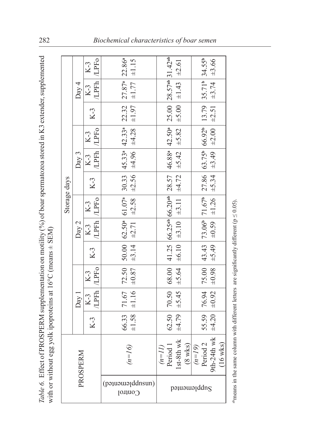| nan anna amanna.<br>$dim V2$ avto<br>$\lambda$ ) of hoer creating effortion crores<br>č<br>.                                                                                                  | くうにく<br>$\frac{1}{2}$                                           |
|-----------------------------------------------------------------------------------------------------------------------------------------------------------------------------------------------|-----------------------------------------------------------------|
| r<br>S<br>$\overline{a}$<br>THE COLUMN<br>֧֧ׅ֧֧֧֧֧֧֧֧֧֧֧֧֧֧֧֧֧֧֧֚֚֚֚֚֚֚֚֚֚֚֚֚֚֚֚֚֚֚֚֚֚֚֚֚֚֚֝֓֓֝֬֓֓֓֓֓֓֓֓֓֝֬֓֝֓֝֬֝֬֝֬֝֬֝֬֝֬֝֬֝֬֝֬֝֬<br>֧֧֧֧֧֧֧֧֧֧֧֧֧֧֧֧֧֧֧֚֚֝֩֩<br>$\sim$ $\sim$ $\sim$ $\sim$ | $-1$ and $-1$<br>$\frac{1}{2}$<br>ם ז<br>)<br>∫<br>∑<br>------- |
| ֧֦֧֦֦֦֧֦֧֦֦֧֦֦֧֦֧֦֧֦֧֧֪֦֧֧֧֧֧֧֧֧֧֛֛֛֚֚֚֚֚֝֝֝֝֝֝֝֝֝֝֬֜֝֟֝֬֝֝֝֬֝֝֬֝֬֜֝֬֜֝֬֜֝֬֜֜                                                                                                                 | `<br>په                                                         |

|              |                   |                        |                                                                                                                           |                                                                                                                                                                           | $K-3$                                       |          |                                                                                         |                                                                                                               |        |  |  |  |
|--------------|-------------------|------------------------|---------------------------------------------------------------------------------------------------------------------------|---------------------------------------------------------------------------------------------------------------------------------------------------------------------------|---------------------------------------------|----------|-----------------------------------------------------------------------------------------|---------------------------------------------------------------------------------------------------------------|--------|--|--|--|
|              | Day 4             | /LPFh   /LPFo<br>$K-3$ | 71.67   72.50   50.00   62.50   61.07   30.33   45.33   42.33   22.32   27.87   22.86<br>$\pm 1.97$ $\pm 1.77$ $\pm 1.15$ | $70.50$   68.00   41.25   66.25 <sup>ab</sup>   66.20 <sup>ab</sup>   28.57   46.88 <sup>a</sup>   42.50 <sup>a</sup>   25.00   28.57 <sup>ab</sup>   31.42 <sup>ab</sup> | $\pm$ 5.00   $\pm$ 1.43   $\pm$ 2.61        |          | $76.94$   75.00   43.43   73.06   71.67   27.86   63.75   66.92   13.79   35.71   34.55 | $\pm 0.98$ $\pm 5.49$ $\pm 0.59$ $\pm 1.26$ $\pm 5.34$ $\pm 3.49$ $\pm 2.00$ $\pm 2.51$ $\pm 3.74$ $\pm 3.66$ |        |  |  |  |
|              |                   | $K-3$                  |                                                                                                                           |                                                                                                                                                                           |                                             |          |                                                                                         |                                                                                                               |        |  |  |  |
|              |                   | $K-3$                  |                                                                                                                           |                                                                                                                                                                           | $\pm 5.82$                                  |          |                                                                                         |                                                                                                               |        |  |  |  |
|              | Day 3             | /LPFh   /LPFo<br>$K-3$ |                                                                                                                           |                                                                                                                                                                           | $\pm 5.42$                                  |          |                                                                                         |                                                                                                               |        |  |  |  |
|              |                   | $K-3$                  |                                                                                                                           |                                                                                                                                                                           |                                             |          |                                                                                         |                                                                                                               |        |  |  |  |
| Storage days |                   | $K-3$                  |                                                                                                                           |                                                                                                                                                                           |                                             |          |                                                                                         |                                                                                                               |        |  |  |  |
|              | $\mathrm{Day}\,2$ | /LPFh /LPFo<br>$K-3$   | $\pm 3.14$ $\pm 2.71$ $\pm 2.58$ $\pm 2.56$ $\pm 4.96$ $\pm 4.28$                                                         |                                                                                                                                                                           | $\pm 6.10$ $\pm 3.10$ $\pm 3.11$ $\pm 4.72$ |          |                                                                                         |                                                                                                               |        |  |  |  |
|              |                   | $K-3$                  |                                                                                                                           |                                                                                                                                                                           |                                             |          |                                                                                         |                                                                                                               |        |  |  |  |
|              | Day 1             | /LPFh   /LPFo          | $\pm 1.58$   $\pm 1.16$   $\pm 0.87$                                                                                      |                                                                                                                                                                           | $=5.64$                                     |          |                                                                                         |                                                                                                               |        |  |  |  |
|              |                   | $K-3$   $K-3$          |                                                                                                                           |                                                                                                                                                                           | $\pm 4.79$ $\pm 5.45$                       |          |                                                                                         | $vk$ $\pm 4.20$ $\pm 0.92$                                                                                    |        |  |  |  |
|              |                   | $K-3$                  | 66.33                                                                                                                     | 62.50                                                                                                                                                                     |                                             |          | 55.59                                                                                   |                                                                                                               |        |  |  |  |
| PROSPERM     |                   |                        | $n = 16$                                                                                                                  | $(m=II)$<br>Period 1<br>1st-8th wl                                                                                                                                        | Ņ<br>$(8 \text{ wks})$                      | $(n=19)$ | Period <sub>2</sub>                                                                     | th-24th v                                                                                                     | 16 wks |  |  |  |
|              |                   |                        | (pauaualddnsun)<br>Control                                                                                                |                                                                                                                                                                           | pə1uəwərddn $_{\rm S}$                      |          |                                                                                         |                                                                                                               |        |  |  |  |

<sup>ab</sup>means in the same column with different letters are significantly different ( $p \le 0.05$ ). abmeans in the same column with different letters are significantly different ( $p \le 0.05$ ).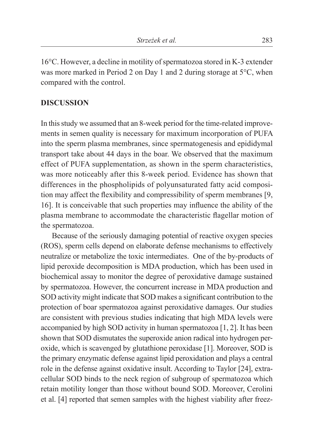16°C. However, a decline in motility of spermatozoa stored in K-3 extender was more marked in Period 2 on Day 1 and 2 during storage at 5°C, when compared with the control.

#### **DISCUSSION**

In this study we assumed that an 8-week period for the time-related improvements in semen quality is necessary for maximum incorporation of PUFA into the sperm plasma membranes, since spermatogenesis and epididymal transport take about 44 days in the boar. We observed that the maximum effect of PUFA supplementation, as shown in the sperm characteristics, was more noticeably after this 8-week period. Evidence has shown that differences in the phospholipids of polyunsaturated fatty acid composition may affect the flexibility and compressibility of sperm membranes [9, 16]. It is conceivable that such properties may influence the ability of the plasma membrane to accommodate the characteristic flagellar motion of the spermatozoa.

Because of the seriously damaging potential of reactive oxygen species (ROS), sperm cells depend on elaborate defense mechanisms to effectively neutralize or metabolize the toxic intermediates. One of the by-products of lipid peroxide decomposition is MDA production, which has been used in biochemical assay to monitor the degree of peroxidative damage sustained by spermatozoa. However, the concurrent increase in MDA production and SOD activity might indicate that SOD makes a significant contribution to the protection of boar spermatozoa against peroxidative damages. Our studies are consistent with previous studies indicating that high MDA levels were accompanied by high SOD activity in human spermatozoa [1, 2]. It has been shown that SOD dismutates the superoxide anion radical into hydrogen peroxide, which is scavenged by glutathione peroxidase [1]. Moreover, SOD is the primary enzymatic defense against lipid peroxidation and plays a central role in the defense against oxidative insult. According to Taylor [24], extracellular SOD binds to the neck region of subgroup of spermatozoa which retain motility longer than those without bound SOD. Moreover, Cerolini et al. [4] reported that semen samples with the highest viability after freez-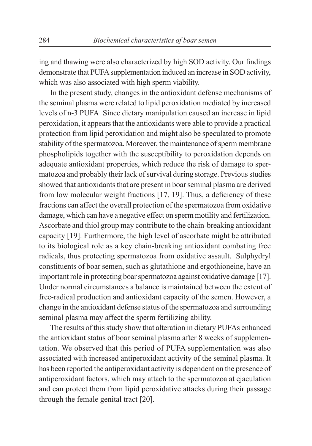ing and thawing were also characterized by high SOD activity. Our findings demonstrate that PUFA supplementation induced an increase in SOD activity, which was also associated with high sperm viability.

In the present study, changes in the antioxidant defense mechanisms of the seminal plasma were related to lipid peroxidation mediated by increased levels of n-3 PUFA. Since dietary manipulation caused an increase in lipid peroxidation, it appears that the antioxidants were able to provide a practical protection from lipid peroxidation and might also be speculated to promote stability of the spermatozoa. Moreover, the maintenance of sperm membrane phospholipids together with the susceptibility to peroxidation depends on adequate antioxidant properties, which reduce the risk of damage to spermatozoa and probably their lack of survival during storage. Previous studies showed that antioxidants that are present in boar seminal plasma are derived from low molecular weight fractions [17, 19]. Thus, a deficiency of these fractions can affect the overall protection of the spermatozoa from oxidative damage, which can have a negative effect on sperm motility and fertilization. Ascorbate and thiol group may contribute to the chain-breaking antioxidant capacity [19]. Furthermore, the high level of ascorbate might be attributed to its biological role as a key chain-breaking antioxidant combating free radicals, thus protecting spermatozoa from oxidative assault. Sulphydryl constituents of boar semen, such as glutathione and ergothioneine, have an important role in protecting boar spermatozoa against oxidative damage [17]. Under normal circumstances a balance is maintained between the extent of free-radical production and antioxidant capacity of the semen. However, a change in the antioxidant defense status of the spermatozoa and surrounding seminal plasma may affect the sperm fertilizing ability.

The results of this study show that alteration in dietary PUFAs enhanced the antioxidant status of boar seminal plasma after 8 weeks of supplementation. We observed that this period of PUFA supplementation was also associated with increased antiperoxidant activity of the seminal plasma. It has been reported the antiperoxidant activity is dependent on the presence of antiperoxidant factors, which may attach to the spermatozoa at ejaculation and can protect them from lipid peroxidative attacks during their passage through the female genital tract [20].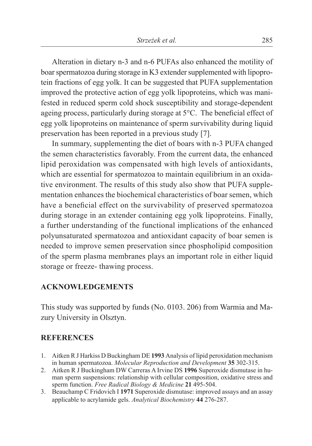Alteration in dietary n-3 and n-6 PUFAs also enhanced the motility of boar spermatozoa during storage in K3 extender supplemented with lipoprotein fractions of egg yolk. It can be suggested that PUFA supplementation improved the protective action of egg yolk lipoproteins, which was manifested in reduced sperm cold shock susceptibility and storage-dependent ageing process, particularly during storage at 5°C. The beneficial effect of egg yolk lipoproteins on maintenance of sperm survivability during liquid preservation has been reported in a previous study [7].

In summary, supplementing the diet of boars with n-3 PUFA changed the semen characteristics favorably. From the current data, the enhanced lipid peroxidation was compensated with high levels of antioxidants, which are essential for spermatozoa to maintain equilibrium in an oxidative environment. The results of this study also show that PUFA supplementation enhances the biochemical characteristics of boar semen, which have a beneficial effect on the survivability of preserved spermatozoa during storage in an extender containing egg yolk lipoproteins. Finally, a further understanding of the functional implications of the enhanced polyunsaturated spermatozoa and antioxidant capacity of boar semen is needed to improve semen preservation since phospholipid composition of the sperm plasma membranes plays an important role in either liquid storage or freeze- thawing process.

#### **ACKNOWLEDGEMENTS**

This study was supported by funds (No. 0103. 206) from Warmia and Mazury University in Olsztyn.

#### **REFERENCES**

- 1. Aitken R J Harkiss D Buckingham DE **1993** Analysis of lipid peroxidation mechanism in human spermatozoa. *Molecular Reproduction and Development* **35** 302-315.
- 2. Aitken R J Buckingham DW Carreras A Irvine DS **1996** Superoxide dismutase in human sperm suspensions: relationship with cellular composition, oxidative stress and sperm function. *Free Radical Biology & Medicine* **21** 495-504.
- 3. Beauchamp C Fridovich I **1971** Superoxide dismutase: improved assays and an assay applicable to acrylamide gels. *Analytical Biochemistry* **44** 276-287.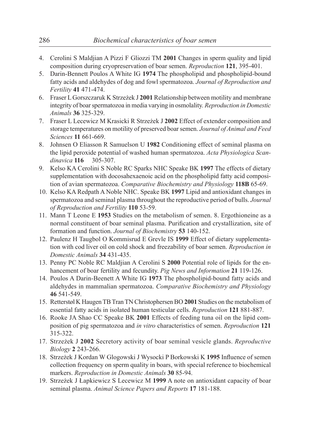- 4. Cerolini S Maldjian A Pizzi F Gliozzi TM **2001** Changes in sperm quality and lipid composition during cryopreservation of boar semen. *Reproduction* **121**, 395-401.
- 5. Darin-Bennett Poulos A White IG **1974** The phospholipid and phospholipid-bound fatty acids and aldehydes of dog and fowl spermatozoa. *Journal of Reproduction and Fertility* **41** 471-474.
- 6. Fraser L Gorszczaruk K Strzeżek J **2001** Relationship between motility and membrane integrity of boar spermatozoa in media varying in osmolality. *Reproduction in Domestic Animals* **36** 325-329.
- 7. Fraser L Lecewicz M Krasicki R Strzeżek J **2002** Effect of extender composition and storage temperatures on motility of preserved boar semen. *Journal of Animal and Feed Sciences* **11** 661-669.
- 8. Johnsen O Eliasson R Samuelson U **1982** Conditioning effect of seminal plasma on the lipid peroxide potential of washed human spermatozoa. *Acta Physiologica Scandinavica* **116** 305-307.
- 9. Kelso KA Cerolini S Noble RC Sparks NHC Speake BK **1997** The effects of dietary supplementation with docosahexaenoic acid on the phospholipid fatty acid composition of avian spermatozoa. *Comparative Biochemistry and Physiology* **118B** 65-69.
- 10. Kelso KA Redpath A Noble NHC. Speake BK **1997** Lipid and antioxidant changes in spermatozoa and seminal plasma throughout the reproductive period of bulls. *Journal of Reproduction and Fertility* **110** 53-59.
- 11. Mann T Leone E **1953** Studies on the metabolism of semen. 8. Ergothioneine as a normal constituent of boar seminal plasma. Purification and crystallization, site of formation and function. *Journal of Biochemistry* **53** 140-152.
- 12. Paulenz H Taugbol O Kommisrud E Grevle IS **1999** Effect of dietary supplementation with cod liver oil on cold shock and freezability of boar semen. *Reproduction in Domestic Animals* **34** 431-435.
- 13. Penny PC Noble RC Maldjian A Cerolini S **2000** Potential role of lipids for the enhancement of boar fertility and fecundity. *Pig News and Information* **21** 119-126.
- 14. Poulos A Darin-Beenett A White IG **1973** The phospholipid-bound fatty acids and aldehydes in mammalian spermatozoa. *Comparative Biochemistry and Physiology* **46** 541-549.
- 15. Retterstøl K Haugen TB Tran TN Christophersen BO **2001** Studies on the metabolism of essential fatty acids in isolated human testicular cells. *Reproduction* **121** 881-887.
- 16. Rooke JA Shao CC Speake BK **2001** Effects of feeding tuna oil on the lipid composition of pig spermatozoa and *in vitro* characteristics of semen. *Reproduction* **121** 315-322.
- 17. Strzeżek J **2002** Secretory activity of boar seminal vesicle glands. *Reproductive Biology* **2** 243-266.
- 18. Strzeżek J Kordan W Glogowski J Wysocki P Borkowski K **1995** Influence of semen collection frequency on sperm quality in boars, with special reference to biochemical markers. *Reproduction in Domestic Animals* **30** 85-94.
- 19. Strzeżek J Łapkiewicz S Lecewicz M **1999** A note on antioxidant capacity of boar seminal plasma. *Animal Science Papers and Reports* **17** 181-188.